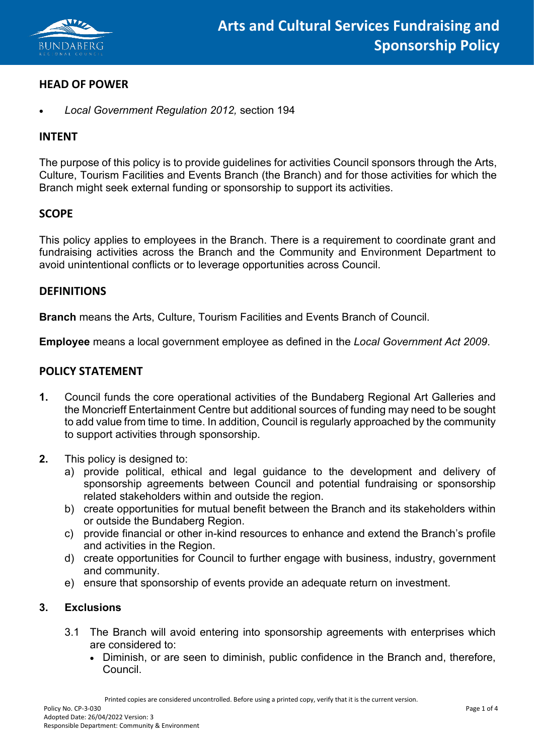

# **HEAD OF POWER**

• *Local Government Regulation 2012,* section 194

#### **INTENT**

The purpose of this policy is to provide guidelines for activities Council sponsors through the Arts, Culture, Tourism Facilities and Events Branch (the Branch) and for those activities for which the Branch might seek external funding or sponsorship to support its activities.

# **SCOPE**

This policy applies to employees in the Branch. There is a requirement to coordinate grant and fundraising activities across the Branch and the Community and Environment Department to avoid unintentional conflicts or to leverage opportunities across Council.

#### **DEFINITIONS**

**Branch** means the Arts, Culture, Tourism Facilities and Events Branch of Council.

**Employee** means a local government employee as defined in the *Local Government Act 2009*.

## **POLICY STATEMENT**

- **1.** Council funds the core operational activities of the Bundaberg Regional Art Galleries and the Moncrieff Entertainment Centre but additional sources of funding may need to be sought to add value from time to time. In addition, Council is regularly approached by the community to support activities through sponsorship.
- **2.** This policy is designed to:
	- a) provide political, ethical and legal guidance to the development and delivery of sponsorship agreements between Council and potential fundraising or sponsorship related stakeholders within and outside the region.
	- b) create opportunities for mutual benefit between the Branch and its stakeholders within or outside the Bundaberg Region.
	- c) provide financial or other in-kind resources to enhance and extend the Branch's profile and activities in the Region.
	- d) create opportunities for Council to further engage with business, industry, government and community.
	- e) ensure that sponsorship of events provide an adequate return on investment.

#### **3. Exclusions**

- 3.1 The Branch will avoid entering into sponsorship agreements with enterprises which are considered to:
	- Diminish, or are seen to diminish, public confidence in the Branch and, therefore, Council.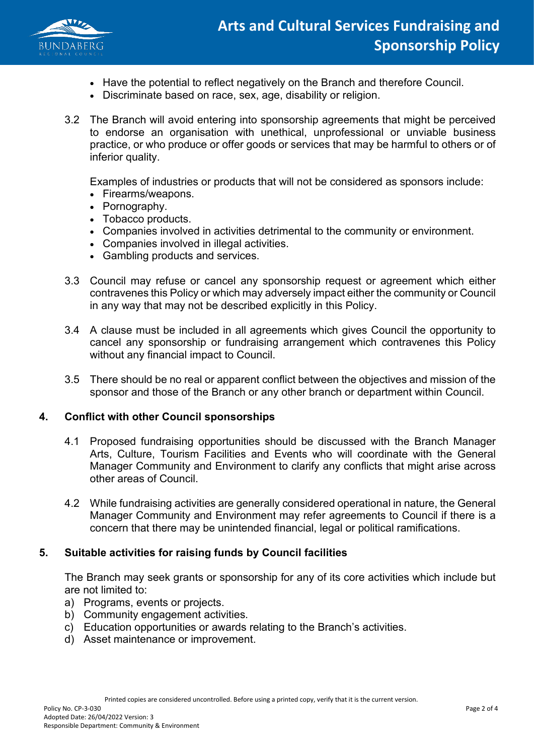

- Have the potential to reflect negatively on the Branch and therefore Council.
- Discriminate based on race, sex, age, disability or religion.
- 3.2 The Branch will avoid entering into sponsorship agreements that might be perceived to endorse an organisation with unethical, unprofessional or unviable business practice, or who produce or offer goods or services that may be harmful to others or of inferior quality.

Examples of industries or products that will not be considered as sponsors include:

- Firearms/weapons.
- Pornography.
- Tobacco products.
- Companies involved in activities detrimental to the community or environment.
- Companies involved in illegal activities.
- Gambling products and services.
- 3.3 Council may refuse or cancel any sponsorship request or agreement which either contravenes this Policy or which may adversely impact either the community or Council in any way that may not be described explicitly in this Policy.
- 3.4 A clause must be included in all agreements which gives Council the opportunity to cancel any sponsorship or fundraising arrangement which contravenes this Policy without any financial impact to Council.
- 3.5 There should be no real or apparent conflict between the objectives and mission of the sponsor and those of the Branch or any other branch or department within Council.

## **4. Conflict with other Council sponsorships**

- 4.1 Proposed fundraising opportunities should be discussed with the Branch Manager Arts, Culture, Tourism Facilities and Events who will coordinate with the General Manager Community and Environment to clarify any conflicts that might arise across other areas of Council.
- 4.2 While fundraising activities are generally considered operational in nature, the General Manager Community and Environment may refer agreements to Council if there is a concern that there may be unintended financial, legal or political ramifications.

## **5. Suitable activities for raising funds by Council facilities**

The Branch may seek grants or sponsorship for any of its core activities which include but are not limited to:

- a) Programs, events or projects.
- b) Community engagement activities.
- c) Education opportunities or awards relating to the Branch's activities.
- d) Asset maintenance or improvement.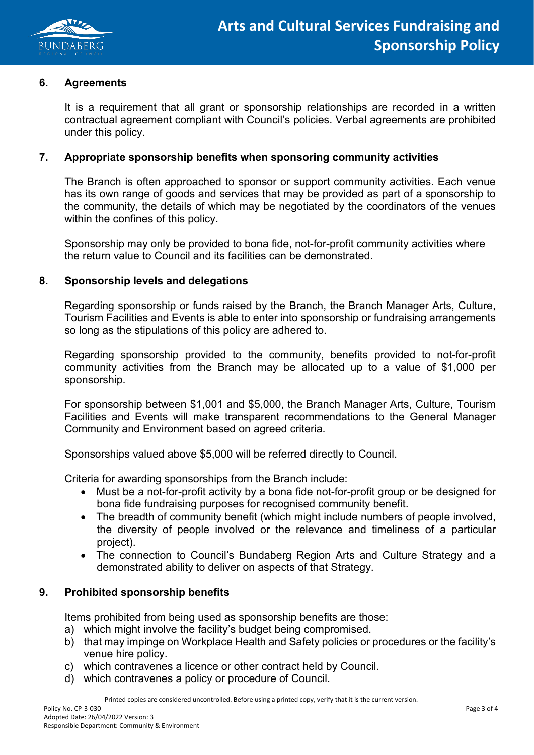

#### **6. Agreements**

It is a requirement that all grant or sponsorship relationships are recorded in a written contractual agreement compliant with Council's policies. Verbal agreements are prohibited under this policy.

#### **7. Appropriate sponsorship benefits when sponsoring community activities**

The Branch is often approached to sponsor or support community activities. Each venue has its own range of goods and services that may be provided as part of a sponsorship to the community, the details of which may be negotiated by the coordinators of the venues within the confines of this policy.

Sponsorship may only be provided to bona fide, not-for-profit community activities where the return value to Council and its facilities can be demonstrated.

#### **8. Sponsorship levels and delegations**

Regarding sponsorship or funds raised by the Branch, the Branch Manager Arts, Culture, Tourism Facilities and Events is able to enter into sponsorship or fundraising arrangements so long as the stipulations of this policy are adhered to.

Regarding sponsorship provided to the community, benefits provided to not-for-profit community activities from the Branch may be allocated up to a value of \$1,000 per sponsorship.

For sponsorship between \$1,001 and \$5,000, the Branch Manager Arts, Culture, Tourism Facilities and Events will make transparent recommendations to the General Manager Community and Environment based on agreed criteria.

Sponsorships valued above \$5,000 will be referred directly to Council.

Criteria for awarding sponsorships from the Branch include:

- Must be a not-for-profit activity by a bona fide not-for-profit group or be designed for bona fide fundraising purposes for recognised community benefit.
- The breadth of community benefit (which might include numbers of people involved, the diversity of people involved or the relevance and timeliness of a particular project).
- The connection to Council's Bundaberg Region Arts and Culture Strategy and a demonstrated ability to deliver on aspects of that Strategy.

#### **9. Prohibited sponsorship benefits**

Items prohibited from being used as sponsorship benefits are those:

- a) which might involve the facility's budget being compromised.
- b) that may impinge on Workplace Health and Safety policies or procedures or the facility's venue hire policy.
- c) which contravenes a licence or other contract held by Council.
- d) which contravenes a policy or procedure of Council.